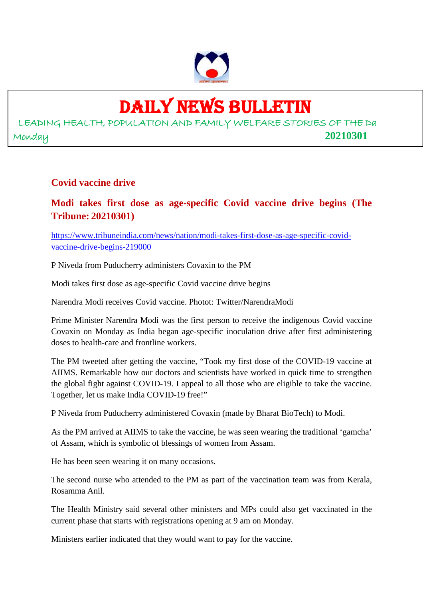

## DAILY NEWS BULLETIN

LEADING HEALTH, POPULATION AND FAMILY WELFARE STORIES OF THE Da Monday **20210301**

#### **Covid vaccine drive**

#### **Modi takes first dose as age-specific Covid vaccine drive begins (The Tribune: 20210301)**

https://www.tribuneindia.com/news/nation/modi-takes-first-dose-as-age-specific-covidvaccine-drive-begins-219000

P Niveda from Puducherry administers Covaxin to the PM

Modi takes first dose as age-specific Covid vaccine drive begins

Narendra Modi receives Covid vaccine. Photot: Twitter/NarendraModi

Prime Minister Narendra Modi was the first person to receive the indigenous Covid vaccine Covaxin on Monday as India began age-specific inoculation drive after first administering doses to health-care and frontline workers.

The PM tweeted after getting the vaccine, "Took my first dose of the COVID-19 vaccine at AIIMS. Remarkable how our doctors and scientists have worked in quick time to strengthen the global fight against COVID-19. I appeal to all those who are eligible to take the vaccine. Together, let us make India COVID-19 free!"

P Niveda from Puducherry administered Covaxin (made by Bharat BioTech) to Modi.

As the PM arrived at AIIMS to take the vaccine, he was seen wearing the traditional 'gamcha' of Assam, which is symbolic of blessings of women from Assam.

He has been seen wearing it on many occasions.

The second nurse who attended to the PM as part of the vaccination team was from Kerala, Rosamma Anil.

The Health Ministry said several other ministers and MPs could also get vaccinated in the current phase that starts with registrations opening at 9 am on Monday.

Ministers earlier indicated that they would want to pay for the vaccine.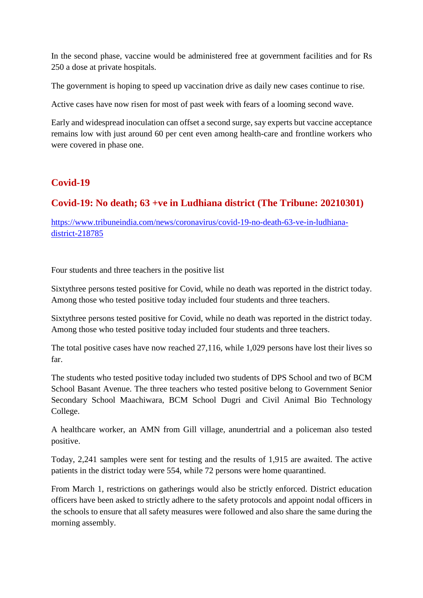In the second phase, vaccine would be administered free at government facilities and for Rs 250 a dose at private hospitals.

The government is hoping to speed up vaccination drive as daily new cases continue to rise.

Active cases have now risen for most of past week with fears of a looming second wave.

Early and widespread inoculation can offset a second surge, say experts but vaccine acceptance remains low with just around 60 per cent even among health-care and frontline workers who were covered in phase one.

#### **Covid-19**

#### **Covid-19: No death; 63 +ve in Ludhiana district (The Tribune: 20210301)**

https://www.tribuneindia.com/news/coronavirus/covid-19-no-death-63-ve-in-ludhianadistrict-218785

Four students and three teachers in the positive list

Sixtythree persons tested positive for Covid, while no death was reported in the district today. Among those who tested positive today included four students and three teachers.

Sixtythree persons tested positive for Covid, while no death was reported in the district today. Among those who tested positive today included four students and three teachers.

The total positive cases have now reached 27,116, while 1,029 persons have lost their lives so far.

The students who tested positive today included two students of DPS School and two of BCM School Basant Avenue. The three teachers who tested positive belong to Government Senior Secondary School Maachiwara, BCM School Dugri and Civil Animal Bio Technology College.

A healthcare worker, an AMN from Gill village, anundertrial and a policeman also tested positive.

Today, 2,241 samples were sent for testing and the results of 1,915 are awaited. The active patients in the district today were 554, while 72 persons were home quarantined.

From March 1, restrictions on gatherings would also be strictly enforced. District education officers have been asked to strictly adhere to the safety protocols and appoint nodal officers in the schools to ensure that all safety measures were followed and also share the same during the morning assembly.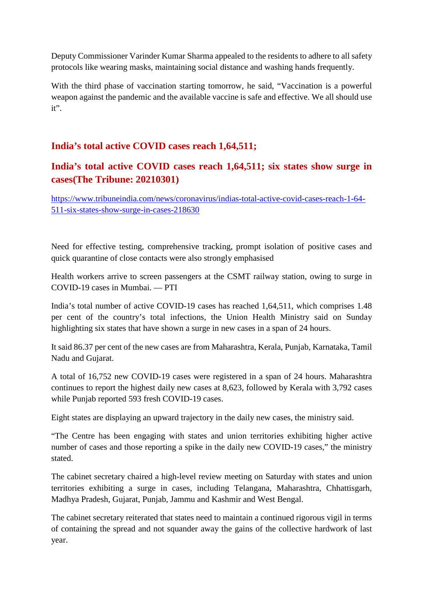Deputy Commissioner Varinder Kumar Sharma appealed to the residents to adhere to all safety protocols like wearing masks, maintaining social distance and washing hands frequently.

With the third phase of vaccination starting tomorrow, he said, "Vaccination is a powerful weapon against the pandemic and the available vaccine is safe and effective. We all should use it".

#### **India's total active COVID cases reach 1,64,511;**

#### **India's total active COVID cases reach 1,64,511; six states show surge in cases(The Tribune: 20210301)**

https://www.tribuneindia.com/news/coronavirus/indias-total-active-covid-cases-reach-1-64- 511-six-states-show-surge-in-cases-218630

Need for effective testing, comprehensive tracking, prompt isolation of positive cases and quick quarantine of close contacts were also strongly emphasised

Health workers arrive to screen passengers at the CSMT railway station, owing to surge in COVID-19 cases in Mumbai. — PTI

India's total number of active COVID-19 cases has reached 1,64,511, which comprises 1.48 per cent of the country's total infections, the Union Health Ministry said on Sunday highlighting six states that have shown a surge in new cases in a span of 24 hours.

It said 86.37 per cent of the new cases are from Maharashtra, Kerala, Punjab, Karnataka, Tamil Nadu and Gujarat.

A total of 16,752 new COVID-19 cases were registered in a span of 24 hours. Maharashtra continues to report the highest daily new cases at 8,623, followed by Kerala with 3,792 cases while Punjab reported 593 fresh COVID-19 cases.

Eight states are displaying an upward trajectory in the daily new cases, the ministry said.

"The Centre has been engaging with states and union territories exhibiting higher active number of cases and those reporting a spike in the daily new COVID-19 cases," the ministry stated.

The cabinet secretary chaired a high-level review meeting on Saturday with states and union territories exhibiting a surge in cases, including Telangana, Maharashtra, Chhattisgarh, Madhya Pradesh, Gujarat, Punjab, Jammu and Kashmir and West Bengal.

The cabinet secretary reiterated that states need to maintain a continued rigorous vigil in terms of containing the spread and not squander away the gains of the collective hardwork of last year.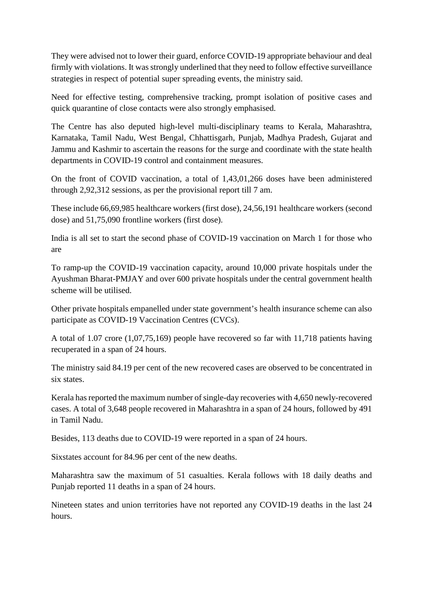They were advised not to lower their guard, enforce COVID-19 appropriate behaviour and deal firmly with violations. It was strongly underlined that they need to follow effective surveillance strategies in respect of potential super spreading events, the ministry said.

Need for effective testing, comprehensive tracking, prompt isolation of positive cases and quick quarantine of close contacts were also strongly emphasised.

The Centre has also deputed high-level multi-disciplinary teams to Kerala, Maharashtra, Karnataka, Tamil Nadu, West Bengal, Chhattisgarh, Punjab, Madhya Pradesh, Gujarat and Jammu and Kashmir to ascertain the reasons for the surge and coordinate with the state health departments in COVID-19 control and containment measures.

On the front of COVID vaccination, a total of 1,43,01,266 doses have been administered through 2,92,312 sessions, as per the provisional report till 7 am.

These include 66,69,985 healthcare workers (first dose), 24,56,191 healthcare workers (second dose) and 51,75,090 frontline workers (first dose).

India is all set to start the second phase of COVID-19 vaccination on March 1 for those who are

To ramp-up the COVID-19 vaccination capacity, around 10,000 private hospitals under the Ayushman Bharat-PMJAY and over 600 private hospitals under the central government health scheme will be utilised.

Other private hospitals empanelled under state government's health insurance scheme can also participate as COVID-19 Vaccination Centres (CVCs).

A total of 1.07 crore (1,07,75,169) people have recovered so far with 11,718 patients having recuperated in a span of 24 hours.

The ministry said 84.19 per cent of the new recovered cases are observed to be concentrated in six states.

Kerala has reported the maximum number of single-day recoveries with 4,650 newly-recovered cases. A total of 3,648 people recovered in Maharashtra in a span of 24 hours, followed by 491 in Tamil Nadu.

Besides, 113 deaths due to COVID-19 were reported in a span of 24 hours.

Sixstates account for 84.96 per cent of the new deaths.

Maharashtra saw the maximum of 51 casualties. Kerala follows with 18 daily deaths and Punjab reported 11 deaths in a span of 24 hours.

Nineteen states and union territories have not reported any COVID-19 deaths in the last 24 hours.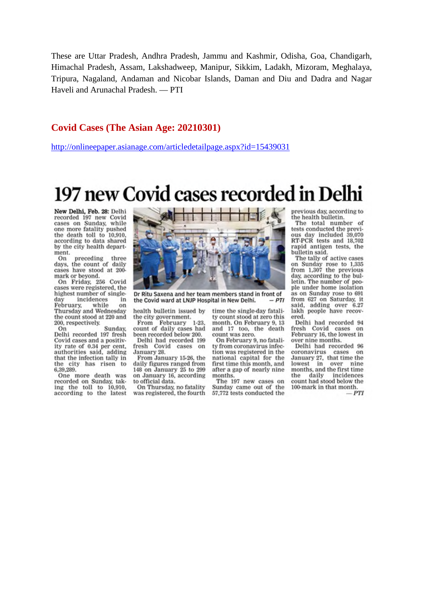These are Uttar Pradesh, Andhra Pradesh, Jammu and Kashmir, Odisha, Goa, Chandigarh, Himachal Pradesh, Assam, Lakshadweep, Manipur, Sikkim, Ladakh, Mizoram, Meghalaya, Tripura, Nagaland, Andaman and Nicobar Islands, Daman and Diu and Dadra and Nagar Haveli and Arunachal Pradesh. - PTI

#### **Covid Cases (The Asian Age: 20210301)**

http://onlineepaper.asianage.com/articledetailpage.aspx?id=15439031

## 197 new Covid cases recorded in Delhi

New Delhi, Feb. 28: Delhi recorded 197 new Covid cases on Sunday, while one more fatality pushed the death toll to 10,910. according to data shared by the city health department.

On preceding three<br>days, the count of daily cases have stood at 200mark or beyond.

On Friday, 256 Covid cases were registered, the highest number of singleincidences day in February. while on Thursday and Wednesday the count stood at 220 and 200, respectively.

On Sunday. Delhi recorded 197 fresh Covid cases and a positivity rate of 0.34 per cent, authorities said, adding the city has risen to 6,39,289. that the infection tally in

One more death was recorded on Sunday, taking the toll to 10,910,<br>according to the latest



Dr Ritu Saxena and her team members stand in front of the Covid ward at LNJP Hospital in New Delhi.  $-PTI$ 

health bulletin issued by the city government.

 $1 - 23$ From February count of daily cases had been recorded below 200.

Delhi had recorded 199 fresh Covid cases on January 28. From January 15-26, the

daily figures ranged from 148 on January 25 to 299 on January 16, according<br>to official data.

On Thursday, no fatality<br>was registered, the fourth

time the single-day fatality count stood at zero this month. On February 9, 13 and 17 too, the death count was zero.

On February 9, no fatality from coronavirus infection was registered in the national capital for the first time this month, and after a gap of nearly nine months.

The 197 new cases on Sunday came out of the 57,772 tests conducted the previous day, according to the health bulletin.

The total number of tests conducted the previous day included 39,070 RT-PCR tests and 18,702 rapid antigen tests, the bulletin said.

The tally of active cases on Sunday rose to 1,335<br>from 1,307 the previous day, according to the bulletin. The number of people under home isolation as on Sunday rose to 691 from 627 on Saturday, it said, adding over 6.27 lakh people have recovered.

Delhi had recorded 94 fresh Covid cases on February 16, the lowest in over nine months.

Delhi had recorded 96 coronavirus cases on January 27, that time the in lowest over nine months, and the first time daily the incidences count had stood below the 100-mark in that month.  $-PTI$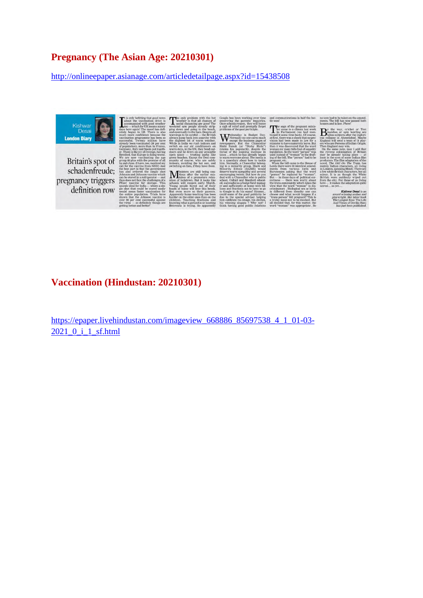#### **Pregnancy (The Asian Age: 20210301)**

http://onlineepaper.asianage.com/articledetailpage.aspx?id=15438508



#### **Vaccination (Hindustan: 20210301)**

https://epaper.livehindustan.com/imageview\_668886\_85697538\_4\_1\_01-03- 2021\_0\_i\_1\_sf.html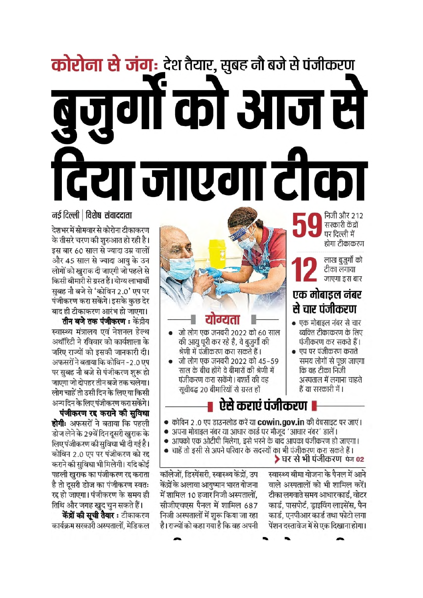# कोरोना से जंग: देश तैयार, सुबह नौ बजे से पंजीकरण ज़ुगों को आज स दिया जाएगा टीका

निजी और 212 सरकारी केंद्रों पर दिल्ली में होगा टीकाकरण



लाख बूजुर्गों को टीका लगाया जाएगा इस बार

#### एक मोबाइल नंबर से चार पंजीकरण

- एक मोबाइल नंबर से चार व्यक्ति टीकाकरण के लिए पंजीकरण कर सकते हैं।
- एप पर पंजीकरण कराते समय लोगों से पूछा जाएगा कि वह टीका निजी अस्पताल में लगाना चाहते हैं या सरकारी में ।



- जो लोग एक जनवरी 2022 को 60 साल की आयु पूरी कर रहे है, वे बुजुर्गों की श्रेणी में पंजीकरण करा सकते हैं ।
- जो लोग एक जनवरी 2022 को 45–59 साल के बीच होंगे वे बीमारों की श्रेणी में पंजीकरण करा सकेंगे। बशर्ते की वह सचीबद्ध 20 बीमारियों से ग्रस्त हों

## ऐसे कराएं पंजीकरण ।

- कोविन २ .० एप डाउनलोड करें या cowin.gov.in की वेबसाइट पर जाएं।
- अपना मोबाइल नंबर या आधार कार्ड पर मौजूद 'आधार नंबर' डालें।
- आपको एक ओटीपी मिलेगा, इसे भरने के बाद आपका पंजीकरण हो जाएगा।
- चाहें तो इसी से अपने परिवार के सदस्यों का भी पंजीकरण करा सकते हैं । ▶घर से भी पंजीकरण क 02

स्वास्थ्य बीमा योजना के पैनल में आने वाले अस्पतालों को भी शामिल करें। टीका लगवाते समय आधारकार्ड, वोटर कार्ड, पासपोर्ट, ड्राइविंग लाइसेंस, पैन कार्ड, एनपीआर कार्ड तथा फोटो लगा पेंशन दस्तावेज में से एक दिखाना होगा।

कॉलेजों, डिस्पेंसरी, स्वास्थ्य केंद्रों, उप केंद्रों के अलावा आयुष्मान भारत योजना में शामिल 10 हजार निजी अस्पतालों. सीजीएचएस पैनल में शामिल 687 निजी अस्पतालों में शुरू किया जा रहा है। राज्यों को कहा गया है कि वह अपनी

#### नई दिल्ली | विशेष संवाददाता

देशभर में सोमवार से कोरोना टीकाकरण के तीसरे चरण की शुरुआत हो रही है। इस बार 60 साल से ज्यादा उम्र वालों और 45 साल से ज्यादा आयु के उन लोगों को खुराक दी जाएगी जो पहले से किसी बीमारी से ग्रस्त हैं। योग्य लाभार्थी सुबह नौ बजे से 'कोविन 2.0' एप पर पंजीकरण करा सकेंगे। इसके कुछ देर बाद ही टीकाकरण आरंभ हो जाएगा।

**तीन बजे तक पंजीकरण:** केंद्रीय स्वास्थ्य मंत्रालय एवं नेशनल हेल्थ अथॉरिटी ने रविवार को कार्यशाला के जरिए राज्यों को इसकी जानकारी दी। अफसरों ने बताया कि कोविन -2.0 एप पर सुबह नौ बजे से पंजीकरण शुरू हो जाएगा जो दोपहर तीन बजे तक चलेगा। लोग चाहें तो उसी दिन के लिए या किसी अन्य दिन के लिए पंजीकरण करा सकेंगे।

पंजीकरण रद्द कराने की सुविधा **होगीः** अफसरों ने बताया कि पहली डोज लेने के 29वें दिन दूसरी खुराक के लिए पंजीकरण की सुविधा भी दी गई है। कोविन 2.0 एप पर पंजीकरण को रद्द कराने की सुविधा भी मिलेगी। यदि कोई पहली खुराक का पंजीकरण रद्द कराता है तो दूसरी डोज का पंजीकरण स्वतः रद्द हो जाएगा। पंजीकरण के समय ही

तिथि और जगह खुद चुन सकते हैं। **केंद्रों की सूची तैयार :** टीकाकरण कार्यक्रम सरकारी अस्पतालों. मेडिकल